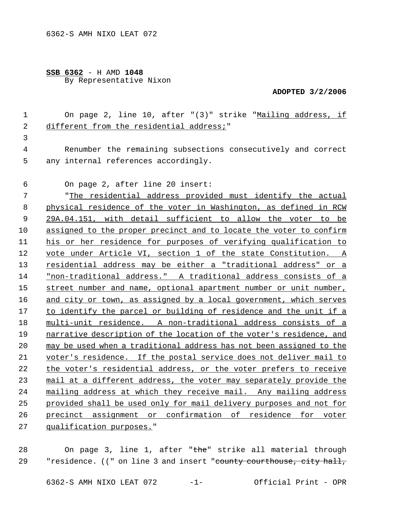## **SSB 6362** - H AMD **1048** By Representative Nixon

## **ADOPTED 3/2/2006**

|   | On page 2, line 10, after "(3)" strike "Mailing address, if  |
|---|--------------------------------------------------------------|
|   | different from the residential address;"                     |
|   |                                                              |
| 4 | Renumber the remaining subsections consecutively and correct |
| 5 | any internal references accordingly.                         |

On page 2, after line 20 insert:

 "The residential address provided must identify the actual physical residence of the voter in Washington, as defined in RCW 29A.04.151, with detail sufficient to allow the voter to be assigned to the proper precinct and to locate the voter to confirm his or her residence for purposes of verifying qualification to vote under Article VI, section 1 of the state Constitution. A residential address may be either a "traditional address" or a "non-traditional address." A traditional address consists of a 15 street number and name, optional apartment number or unit number, and city or town, as assigned by a local government, which serves to identify the parcel or building of residence and the unit if a multi-unit residence. A non-traditional address consists of a narrative description of the location of the voter's residence, and may be used when a traditional address has not been assigned to the 21 voter's residence. If the postal service does not deliver mail to 22 the voter's residential address, or the voter prefers to receive mail at a different address, the voter may separately provide the mailing address at which they receive mail. Any mailing address provided shall be used only for mail delivery purposes and not for precinct assignment or confirmation of residence for voter qualification purposes."

28 On page 3, line 1, after "the" strike all material through 29 Tresidence. ((" on line 3 and insert "county courthouse, city hall,